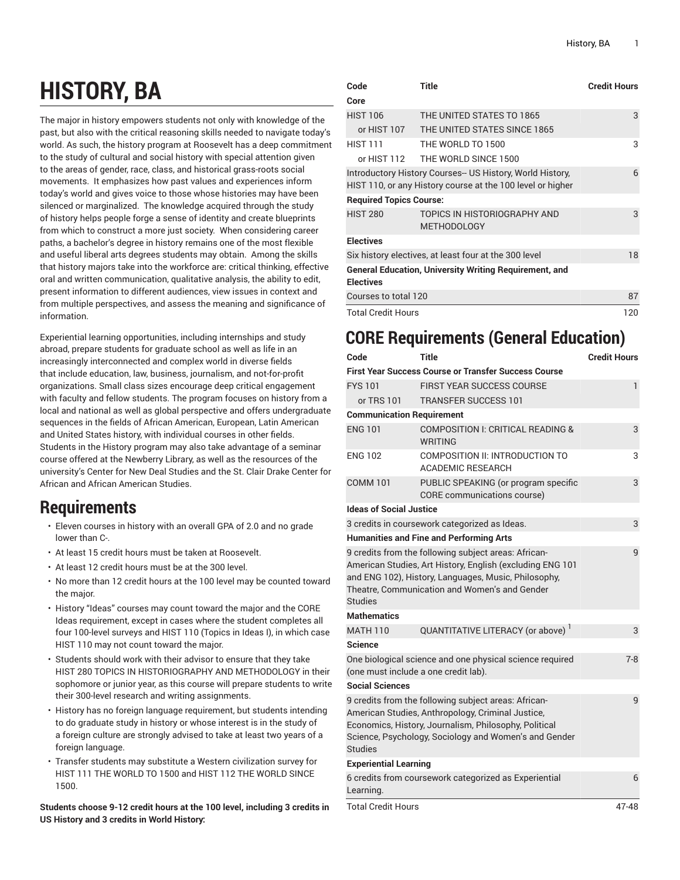# **HISTORY, BA**

The major in history empowers students not only with knowledge of the past, but also with the critical reasoning skills needed to navigate today's world. As such, the history program at Roosevelt has a deep commitment to the study of cultural and social history with special attention given to the areas of gender, race, class, and historical grass-roots social movements. It emphasizes how past values and experiences inform today's world and gives voice to those whose histories may have been silenced or marginalized. The knowledge acquired through the study of history helps people forge a sense of identity and create blueprints from which to construct a more just society. When considering career paths, a bachelor's degree in history remains one of the most flexible and useful liberal arts degrees students may obtain. Among the skills that history majors take into the workforce are: critical thinking, effective oral and written communication, qualitative analysis, the ability to edit, present information to different audiences, view issues in context and from multiple perspectives, and assess the meaning and significance of information.

Experiential learning opportunities, including internships and study abroad, prepare students for graduate school as well as life in an increasingly interconnected and complex world in diverse fields that include education, law, business, journalism, and not-for-profit organizations. Small class sizes encourage deep critical engagement with faculty and fellow students. The program focuses on history from a local and national as well as global perspective and offers undergraduate sequences in the fields of African American, European, Latin American and United States history, with individual courses in other fields. Students in the History program may also take advantage of a seminar course offered at the Newberry Library, as well as the resources of the university's Center for New Deal Studies and the St. Clair Drake Center for African and African American Studies.

### **Requirements**

- Eleven courses in history with an overall GPA of 2.0 and no grade lower than C-.
- At least 15 credit hours must be taken at Roosevelt.
- At least 12 credit hours must be at the 300 level.
- No more than 12 credit hours at the 100 level may be counted toward the major.
- History "Ideas" courses may count toward the major and the CORE Ideas requirement, except in cases where the student completes all four 100-level surveys and HIST 110 (Topics in Ideas I), in which case HIST 110 may not count toward the major.
- Students should work with their advisor to ensure that they take HIST 280 TOPICS IN HISTORIOGRAPHY AND METHODOLOGY in their sophomore or junior year, as this course will prepare students to write their 300-level research and writing assignments.
- History has no foreign language requirement, but students intending to do graduate study in history or whose interest is in the study of a foreign culture are strongly advised to take at least two years of a foreign language.
- Transfer students may substitute a Western civilization survey for HIST 111 THE WORLD TO 1500 and HIST 112 THE WORLD SINCE 1500.

**Students choose 9-12 credit hours at the 100 level, including 3 credits in US History and 3 credits in World History:**

| Code                                                       | <b>Title</b>                                                  | <b>Credit Hours</b> |
|------------------------------------------------------------|---------------------------------------------------------------|---------------------|
| Core                                                       |                                                               |                     |
| <b>HIST 106</b>                                            | THE UNITED STATES TO 1865                                     | 3                   |
| or HIST 107                                                | THE UNITED STATES SINCE 1865                                  |                     |
| <b>HIST 111</b>                                            | THE WORLD TO 1500                                             | 3                   |
| or HIST 112                                                | THE WORLD SINCE 1500                                          |                     |
| Introductory History Courses-- US History, World History,  | 6                                                             |                     |
| HIST 110, or any History course at the 100 level or higher |                                                               |                     |
| <b>Required Topics Course:</b>                             |                                                               |                     |
| <b>HIST 280</b>                                            | TOPICS IN HISTORIOGRAPHY AND                                  | 3                   |
|                                                            | <b>METHODOLOGY</b>                                            |                     |
| <b>Electives</b>                                           |                                                               |                     |
| Six history electives, at least four at the 300 level      | 18                                                            |                     |
|                                                            | <b>General Education, University Writing Requirement, and</b> |                     |
| <b>Electives</b>                                           |                                                               |                     |
| Courses to total 120                                       | 87                                                            |                     |
| <b>Total Credit Hours</b>                                  | 120                                                           |                     |

## **CORE Requirements (General Education)**

| Code                                                                                             | Title                                                                                                                                                                                                                       | <b>Credit Hours</b> |  |  |  |  |  |
|--------------------------------------------------------------------------------------------------|-----------------------------------------------------------------------------------------------------------------------------------------------------------------------------------------------------------------------------|---------------------|--|--|--|--|--|
| <b>First Year Success Course or Transfer Success Course</b>                                      |                                                                                                                                                                                                                             |                     |  |  |  |  |  |
| <b>FYS101</b>                                                                                    | <b>FIRST YEAR SUCCESS COURSE</b>                                                                                                                                                                                            | 1                   |  |  |  |  |  |
| or TRS 101                                                                                       | <b>TRANSFER SUCCESS 101</b>                                                                                                                                                                                                 |                     |  |  |  |  |  |
| <b>Communication Requirement</b>                                                                 |                                                                                                                                                                                                                             |                     |  |  |  |  |  |
| <b>ENG 101</b>                                                                                   | COMPOSITION I: CRITICAL READING &<br><b>WRITING</b>                                                                                                                                                                         | 3                   |  |  |  |  |  |
| <b>ENG 102</b>                                                                                   | COMPOSITION II: INTRODUCTION TO<br>ACADEMIC RESEARCH                                                                                                                                                                        | 3                   |  |  |  |  |  |
| <b>COMM 101</b>                                                                                  | PUBLIC SPEAKING (or program specific<br>CORE communications course)                                                                                                                                                         | 3                   |  |  |  |  |  |
| <b>Ideas of Social Justice</b>                                                                   |                                                                                                                                                                                                                             |                     |  |  |  |  |  |
|                                                                                                  | 3 credits in coursework categorized as Ideas.                                                                                                                                                                               | 3                   |  |  |  |  |  |
|                                                                                                  | <b>Humanities and Fine and Performing Arts</b>                                                                                                                                                                              |                     |  |  |  |  |  |
| <b>Studies</b>                                                                                   | 9 credits from the following subject areas: African-<br>American Studies, Art History, English (excluding ENG 101<br>and ENG 102), History, Languages, Music, Philosophy,<br>Theatre, Communication and Women's and Gender  | 9                   |  |  |  |  |  |
| <b>Mathematics</b>                                                                               |                                                                                                                                                                                                                             |                     |  |  |  |  |  |
| <b>MATH 110</b>                                                                                  | QUANTITATIVE LITERACY (or above)                                                                                                                                                                                            | 3                   |  |  |  |  |  |
| <b>Science</b>                                                                                   |                                                                                                                                                                                                                             |                     |  |  |  |  |  |
| One biological science and one physical science required<br>(one must include a one credit lab). | $7 - 8$                                                                                                                                                                                                                     |                     |  |  |  |  |  |
| <b>Social Sciences</b>                                                                           |                                                                                                                                                                                                                             |                     |  |  |  |  |  |
| <b>Studies</b>                                                                                   | 9 credits from the following subject areas: African-<br>American Studies, Anthropology, Criminal Justice,<br>Economics, History, Journalism, Philosophy, Political<br>Science, Psychology, Sociology and Women's and Gender | 9                   |  |  |  |  |  |
| <b>Experiential Learning</b>                                                                     |                                                                                                                                                                                                                             |                     |  |  |  |  |  |
| Learning.                                                                                        | 6 credits from coursework categorized as Experiential                                                                                                                                                                       | 6                   |  |  |  |  |  |
| <b>Total Credit Hours</b>                                                                        |                                                                                                                                                                                                                             | 47-48               |  |  |  |  |  |